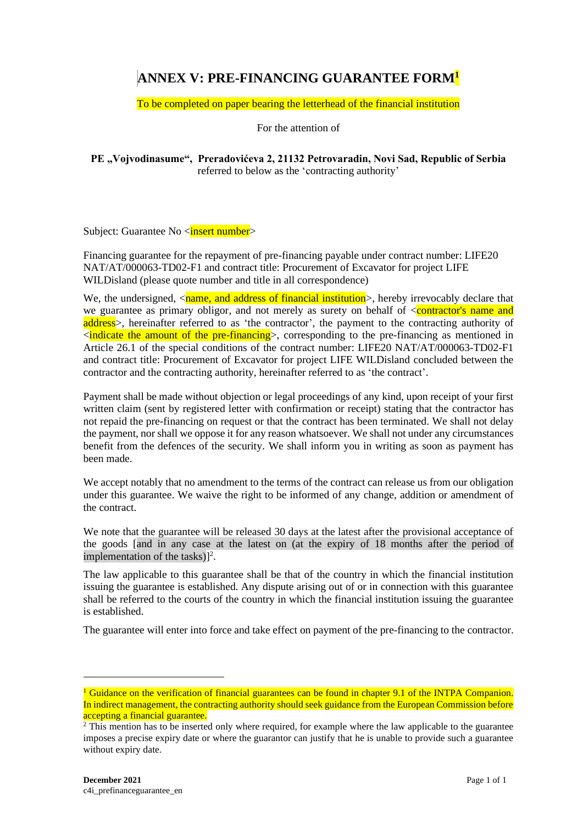## **ANNEX V: PRE-FINANCING GUARANTEE FORM<sup>1</sup>**

To be completed on paper bearing the letterhead of the financial institution

For the attention of

**PE "Vojvodinasume", Preradovićeva 2, 21132 Petrovaradin, Novi Sad, Republic of Serbia** referred to below as the 'contracting authority'

Subject: Guarantee No <insert number>

Financing guarantee for the repayment of pre-financing payable under contract number: LIFE20 NAT/AT/000063-TD02-F1 and contract title: Procurement of Excavator for project LIFE WILDisland (please quote number and title in all correspondence)

We, the undersigned,  $\langle$ name, and address of financial institution $\rangle$ , hereby irrevocably declare that we guarantee as primary obligor, and not merely as surety on behalf of <contractor's name and address>, hereinafter referred to as 'the contractor', the payment to the contracting authority of  $\le$ indicate the amount of the pre-financing  $\ge$ , corresponding to the pre-financing as mentioned in Article 26.1 of the special conditions of the contract number: LIFE20 NAT/AT/000063-TD02-F1 and contract title: Procurement of Excavator for project LIFE WILDisland concluded between the contractor and the contracting authority, hereinafter referred to as 'the contract'.

Payment shall be made without objection or legal proceedings of any kind, upon receipt of your first written claim (sent by registered letter with confirmation or receipt) stating that the contractor has not repaid the pre-financing on request or that the contract has been terminated. We shall not delay the payment, nor shall we oppose it for any reason whatsoever. We shall not under any circumstances benefit from the defences of the security. We shall inform you in writing as soon as payment has been made.

We accept notably that no amendment to the terms of the contract can release us from our obligation under this guarantee. We waive the right to be informed of any change, addition or amendment of the contract.

We note that the guarantee will be released 30 days at the latest after the provisional acceptance of the goods [and in any case at the latest on (at the expiry of 18 months after the period of implementation of the tasks)]<sup>2</sup>.

The law applicable to this guarantee shall be that of the country in which the financial institution issuing the guarantee is established. Any dispute arising out of or in connection with this guarantee shall be referred to the courts of the country in which the financial institution issuing the guarantee is established.

The guarantee will enter into force and take effect on payment of the pre-financing to the contractor.

<sup>&</sup>lt;sup>1</sup> Guidance on the verification of financial guarantees can be found in chapter 9.1 of the INTPA Companion. In indirect management, the contracting authority should seek guidance from the European Commission before accepting a financial guarantee.

<sup>&</sup>lt;sup>2</sup> This mention has to be inserted only where required, for example where the law applicable to the guarantee imposes a precise expiry date or where the guarantor can justify that he is unable to provide such a guarantee without expiry date.